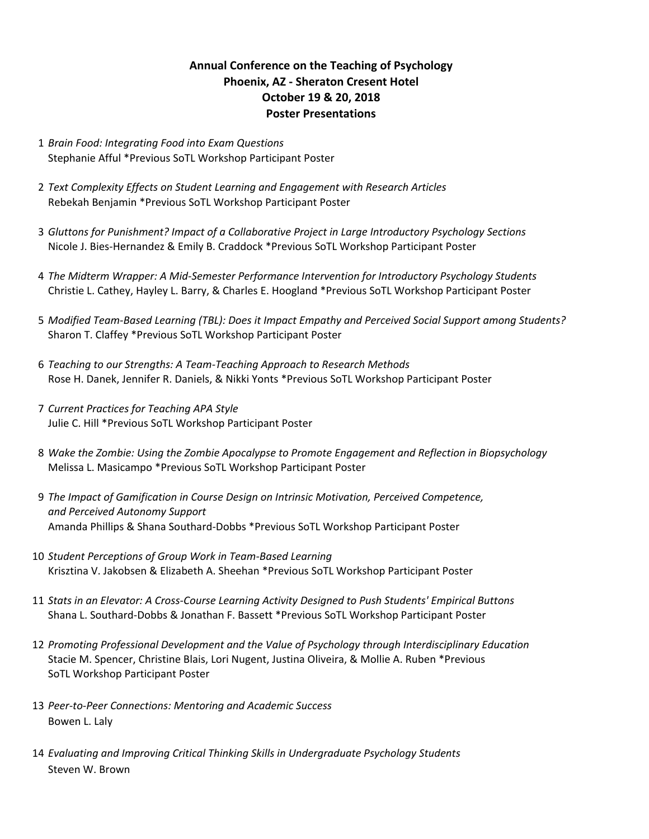## **Annual Conference on the Teaching of Psychology Phoenix, AZ - Sheraton Cresent Hotel October 19 & 20, 2018 Poster Presentations**

- 1 *Brain Food: Integrating Food into Exam Questions* Stephanie Afful \*Previous SoTL Workshop Participant Poster
- 2 Text Complexity Effects on Student Learning and Engagement with Research Articles Rebekah Benjamin \*Previous SoTL Workshop Participant Poster
- 3 Gluttons for Punishment? Impact of a Collaborative Project in Large Introductory Psychology Sections Nicole J. Bies-Hernandez & Emily B. Craddock \*Previous SoTL Workshop Participant Poster
- 4 *The Midterm Wrapper: A Mid-Semester Performance Intervention for Introductory Psychology Students* Christie L. Cathey, Hayley L. Barry, & Charles E. Hoogland \*Previous SoTL Workshop Participant Poster
- 5 Modified Team-Based Learning (TBL): Does it Impact Empathy and Perceived Social Support among Students? Sharon T. Claffey \*Previous SoTL Workshop Participant Poster
- 6 *Teaching to our Strengths: A Team-Teaching Approach to Research Methods* Rose H. Danek, Jennifer R. Daniels, & Nikki Yonts \*Previous SoTL Workshop Participant Poster
- 7 *Current Practices for Teaching APA Style* Julie C. Hill \*Previous SoTL Workshop Participant Poster
- 8 Wake the Zombie: Using the Zombie Apocalypse to Promote Engagement and Reflection in Biopsychology Melissa L. Masicampo \*Previous SoTL Workshop Participant Poster
- 9 The Impact of Gamification in Course Design on Intrinsic Motivation, Perceived Competence, *and Perceived Autonomy Support* Amanda Phillips & Shana Southard-Dobbs \*Previous SoTL Workshop Participant Poster
- 10 *Student Perceptions of Group Work in Team-Based Learning* Krisztina V. Jakobsen & Elizabeth A. Sheehan \*Previous SoTL Workshop Participant Poster
- 11 *Stats in an Elevator: A Cross-Course Learning Activity Designed to Push Students' Empirical Buttons* Shana L. Southard-Dobbs & Jonathan F. Bassett \*Previous SoTL Workshop Participant Poster
- 12 Promoting Professional Development and the Value of Psychology through Interdisciplinary Education Stacie M. Spencer, Christine Blais, Lori Nugent, Justina Oliveira, & Mollie A. Ruben \*Previous SoTL Workshop Participant Poster
- 13 Peer-to-Peer Connections: Mentoring and Academic Success Bowen L. Laly
- 14 *Evaluating and Improving Critical Thinking Skills in Undergraduate Psychology Students* Steven W. Brown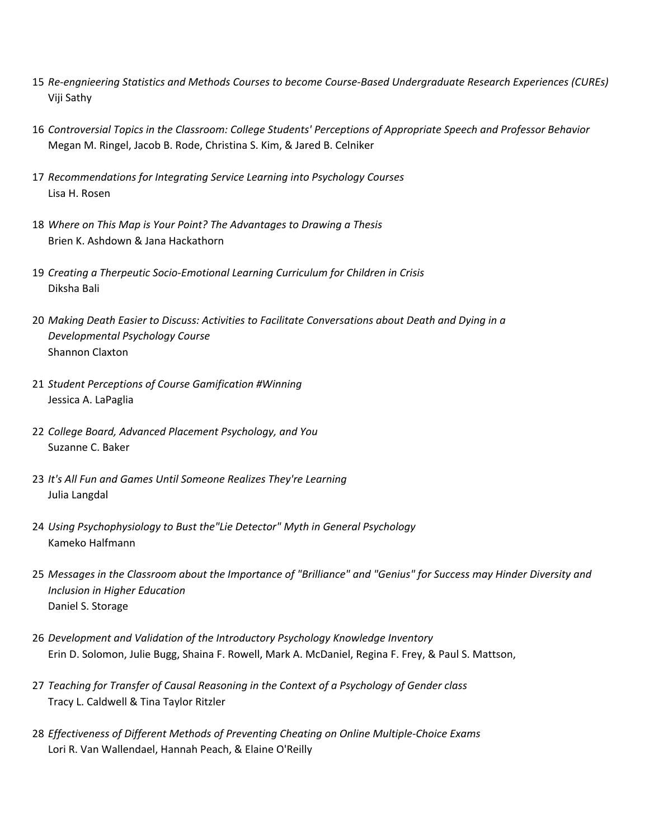- 15 Re-engnieering Statistics and Methods Courses to become Course-Based Undergraduate Research Experiences (CUREs) Viji Sathy
- 16 Controversial Topics in the Classroom: College Students' Perceptions of Appropriate Speech and Professor Behavior Megan M. Ringel, Jacob B. Rode, Christina S. Kim, & Jared B. Celniker
- 17 Recommendations for Integrating Service Learning into Psychology Courses Lisa H. Rosen
- 18 Where on This Map is Your Point? The Advantages to Drawing a Thesis Brien K. Ashdown & Jana Hackathorn
- 19 Creating a Therpeutic Socio-Emotional Learning Curriculum for Children in Crisis Diksha Bali
- 20 Making Death Easier to Discuss: Activities to Facilitate Conversations about Death and Dying in a *Developmental Psychology Course* Shannon Claxton
- 21 *Student Perceptions of Course Gamification #Winning* Jessica A. LaPaglia
- 22 College Board, Advanced Placement Psychology, and You Suzanne C. Baker
- 23 It's All Fun and Games Until Someone Realizes They're Learning Julia Langdal
- 24 Using Psychophysiology to Bust the"Lie Detector" Myth in General Psychology Kameko Halfmann
- 25 Messages in the Classroom about the Importance of "Brilliance" and "Genius" for Success may Hinder Diversity and *Inclusion in Higher Education* Daniel S. Storage
- 26 Development and Validation of the Introductory Psychology Knowledge Inventory Erin D. Solomon, Julie Bugg, Shaina F. Rowell, Mark A. McDaniel, Regina F. Frey, & Paul S. Mattson,
- 27 Teaching for Transfer of Causal Reasoning in the Context of a Psychology of Gender class Tracy L. Caldwell & Tina Taylor Ritzler
- 28 *Effectiveness of Different Methods of Preventing Cheating on Online Multiple-Choice Exams* Lori R. Van Wallendael, Hannah Peach, & Elaine O'Reilly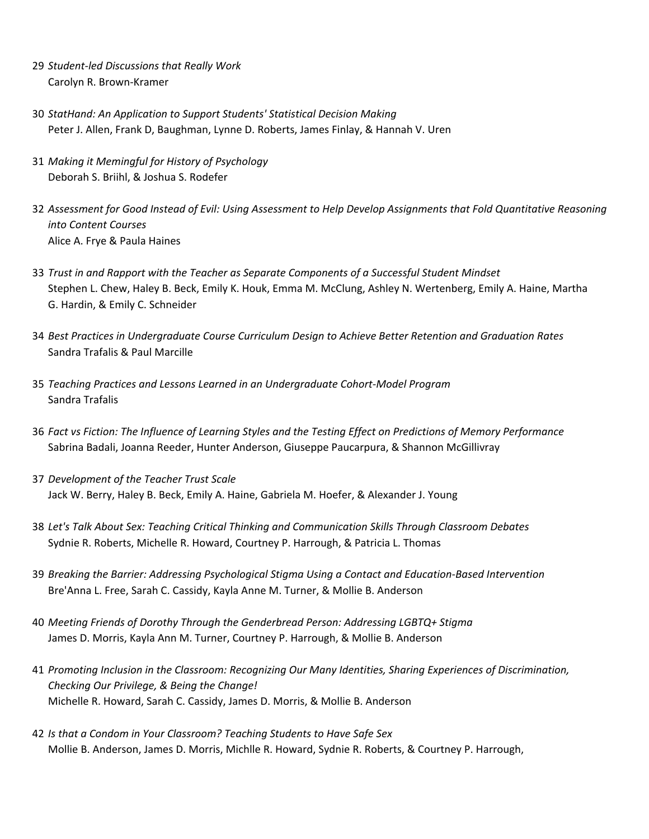- 29 *Student-led Discussions that Really Work* Carolyn R. Brown-Kramer
- 30 *StatHand: An Application to Support Students' Statistical Decision Making* Peter J. Allen, Frank D, Baughman, Lynne D. Roberts, James Finlay, & Hannah V. Uren
- 31 Making it Memingful for History of Psychology Deborah S. Briihl, & Joshua S. Rodefer
- 32 Assessment for Good Instead of Evil: Using Assessment to Help Develop Assignments that Fold Quantitative Reasoning *into Content Courses* Alice A. Frye & Paula Haines
- 33 Trust in and Rapport with the Teacher as Separate Components of a Successful Student Mindset Stephen L. Chew, Haley B. Beck, Emily K. Houk, Emma M. McClung, Ashley N. Wertenberg, Emily A. Haine, Martha G. Hardin, & Emily C. Schneider
- 34 Best Practices in Undergraduate Course Curriculum Design to Achieve Better Retention and Graduation Rates Sandra Trafalis & Paul Marcille
- 35 *Teaching Practices and Lessons Learned in an Undergraduate Cohort-Model Program* Sandra Trafalis
- 36 Fact vs Fiction: The Influence of Learning Styles and the Testing Effect on Predictions of Memory Performance Sabrina Badali, Joanna Reeder, Hunter Anderson, Giuseppe Paucarpura, & Shannon McGillivray
- 37 Development of the Teacher Trust Scale Jack W. Berry, Haley B. Beck, Emily A. Haine, Gabriela M. Hoefer, & Alexander J. Young
- 38 Let's Talk About Sex: Teaching Critical Thinking and Communication Skills Through Classroom Debates Sydnie R. Roberts, Michelle R. Howard, Courtney P. Harrough, & Patricia L. Thomas
- 39 Breaking the Barrier: Addressing Psychological Stigma Using a Contact and Education-Based Intervention Bre'Anna L. Free, Sarah C. Cassidy, Kayla Anne M. Turner, & Mollie B. Anderson
- 40 Meeting Friends of Dorothy Through the Genderbread Person: Addressing LGBTQ+ Stigma James D. Morris, Kayla Ann M. Turner, Courtney P. Harrough, & Mollie B. Anderson
- 41 Promoting Inclusion in the Classroom: Recognizing Our Many Identities, Sharing Experiences of Discrimination, *Checking Our Privilege, & Being the Change!* Michelle R. Howard, Sarah C. Cassidy, James D. Morris, & Mollie B. Anderson
- 42 *Is that a Condom in Your Classroom? Teaching Students to Have Safe Sex* Mollie B. Anderson, James D. Morris, Michlle R. Howard, Sydnie R. Roberts, & Courtney P. Harrough,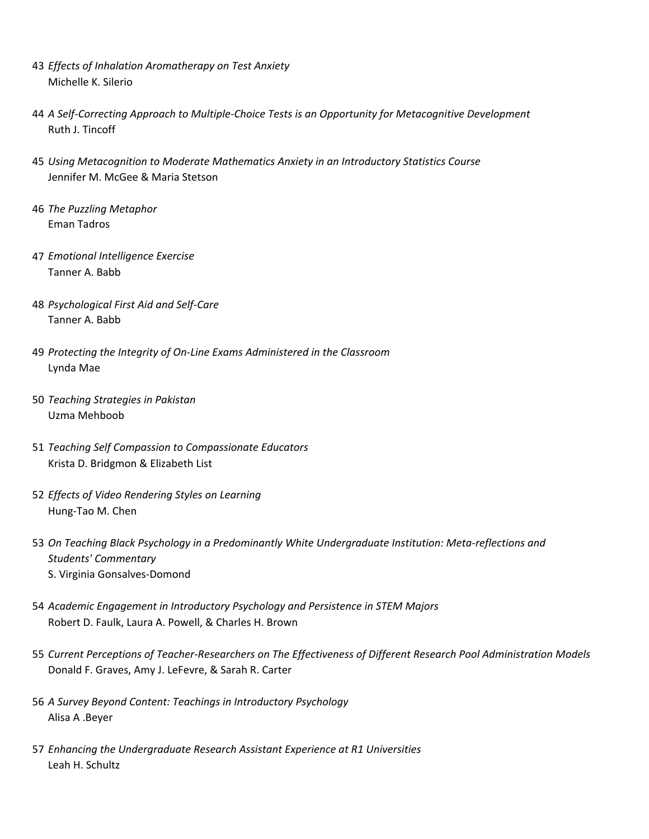- 43 *Effects of Inhalation Aromatherapy on Test Anxiety* Michelle K. Silerio
- 44 A Self-Correcting Approach to Multiple-Choice Tests is an Opportunity for Metacognitive Development Ruth J. Tincoff
- 45 *Using Metacognition to Moderate Mathematics Anxiety in an Introductory Statistics Course* Jennifer M. McGee & Maria Stetson
- **46 The Puzzling Metaphor** Eman Tadros
- 47 *Emotional Intelligence Exercise* Tanner A. Babb
- 48 *Psychological First Aid and Self-Care* Tanner A. Babb
- 49 Protecting the Integrity of On-Line Exams Administered in the Classroom Lynda Mae
- 50 *Teaching Strategies in Pakistan* Uzma Mehboob
- 51 *Teaching Self Compassion to Compassionate Educators* Krista D. Bridgmon & Elizabeth List
- 52 *Effects of Video Rendering Styles on Learning* Hung-Tao M. Chen
- 53 On Teaching Black Psychology in a Predominantly White Undergraduate Institution: Meta-reflections and *Students' Commentary* S. Virginia Gonsalves-Domond
- 54 Academic Engagement in Introductory Psychology and Persistence in STEM Majors Robert D. Faulk, Laura A. Powell, & Charles H. Brown
- 55 Current Perceptions of Teacher-Researchers on The Effectiveness of Different Research Pool Administration Models Donald F. Graves, Amy J. LeFevre, & Sarah R. Carter
- 56 *A Survey Beyond Content: Teachings in Introductory Psychology* Alisa A .Beyer
- 57 Enhancing the Undergraduate Research Assistant Experience at R1 Universities Leah H. Schultz